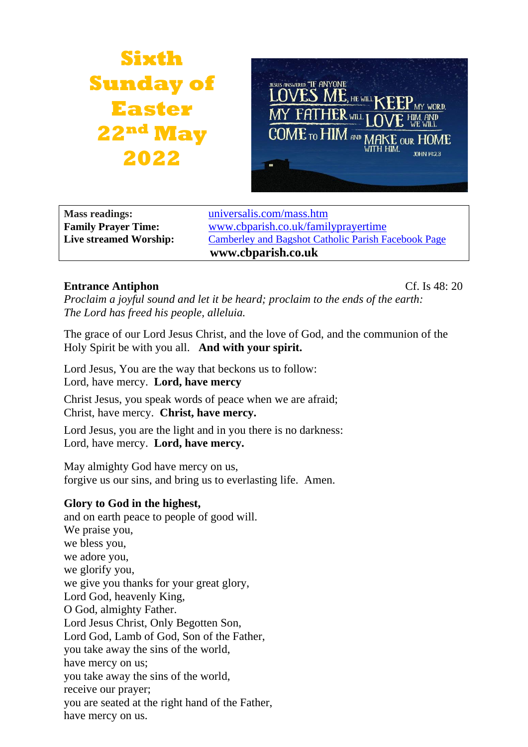# **Sixth Sunday of Easter 22nd May 2022**



**Mass readings:** [universalis.com/mass.htm](https://universalis.com/mass.htm) **Family Prayer Time:** www.cbparish.co.uk/familyprayertime Live streamed Worship: [Camberley and Bagshot Catholic Parish Facebook Page](https://www.facebook.com/Camberley-Bagshot-Catholic-Parish-102099478101801/) **www.cbparish.co.uk**

## **Entrance Antiphon** Cf. Is 48: 20

*Proclaim a joyful sound and let it be heard; proclaim to the ends of the earth: The Lord has freed his people, alleluia.*

The grace of our Lord Jesus Christ, and the love of God, and the communion of the Holy Spirit be with you all. **And with your spirit.**

Lord Jesus, You are the way that beckons us to follow: Lord, have mercy. **Lord, have mercy**

Christ Jesus, you speak words of peace when we are afraid; Christ, have mercy. **Christ, have mercy.**

Lord Jesus, you are the light and in you there is no darkness: Lord, have mercy. **Lord, have mercy.**

May almighty God have mercy on us, forgive us our sins, and bring us to everlasting life. Amen.

### **Glory to God in the highest,**

and on earth peace to people of good will. We praise you, we bless you, we adore you, we glorify you, we give you thanks for your great glory, Lord God, heavenly King, O God, almighty Father. Lord Jesus Christ, Only Begotten Son, Lord God, Lamb of God, Son of the Father, you take away the sins of the world, have mercy on us; you take away the sins of the world, receive our prayer; you are seated at the right hand of the Father, have mercy on us.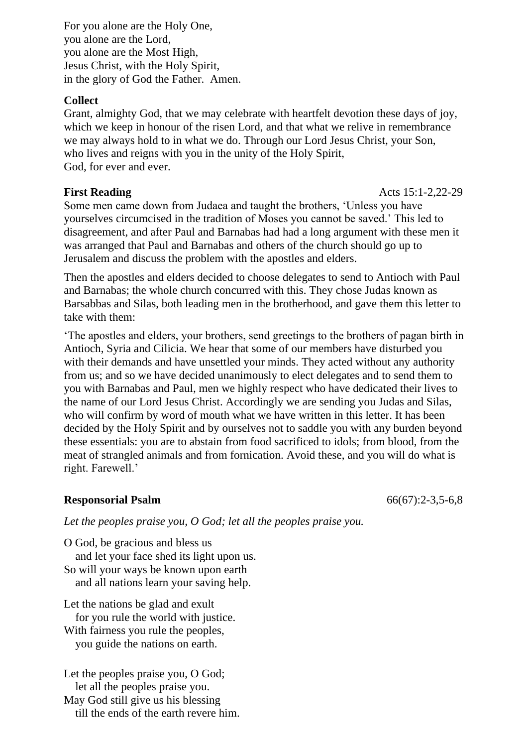For you alone are the Holy One, you alone are the Lord, you alone are the Most High, Jesus Christ, with the Holy Spirit, in the glory of God the Father. Amen.

### **Collect**

Grant, almighty God, that we may celebrate with heartfelt devotion these days of joy, which we keep in honour of the risen Lord, and that what we relive in remembrance we may always hold to in what we do. Through our Lord Jesus Christ, your Son, who lives and reigns with you in the unity of the Holy Spirit, God, for ever and ever.

**First Reading** Acts 15:1-2,22-29

Some men came down from Judaea and taught the brothers, 'Unless you have yourselves circumcised in the tradition of Moses you cannot be saved.' This led to disagreement, and after Paul and Barnabas had had a long argument with these men it was arranged that Paul and Barnabas and others of the church should go up to Jerusalem and discuss the problem with the apostles and elders.

Then the apostles and elders decided to choose delegates to send to Antioch with Paul and Barnabas; the whole church concurred with this. They chose Judas known as Barsabbas and Silas, both leading men in the brotherhood, and gave them this letter to take with them:

'The apostles and elders, your brothers, send greetings to the brothers of pagan birth in Antioch, Syria and Cilicia. We hear that some of our members have disturbed you with their demands and have unsettled your minds. They acted without any authority from us; and so we have decided unanimously to elect delegates and to send them to you with Barnabas and Paul, men we highly respect who have dedicated their lives to the name of our Lord Jesus Christ. Accordingly we are sending you Judas and Silas, who will confirm by word of mouth what we have written in this letter. It has been decided by the Holy Spirit and by ourselves not to saddle you with any burden beyond these essentials: you are to abstain from food sacrificed to idols; from blood, from the meat of strangled animals and from fornication. Avoid these, and you will do what is right. Farewell.'

### **Responsorial Psalm** 66(67):2-3,5-6,8

*Let the peoples praise you, O God; let all the peoples praise you.*

O God, be gracious and bless us and let your face shed its light upon us. So will your ways be known upon earth and all nations learn your saving help.

Let the nations be glad and exult for you rule the world with justice. With fairness you rule the peoples, you guide the nations on earth.

Let the peoples praise you, O God; let all the peoples praise you. May God still give us his blessing till the ends of the earth revere him.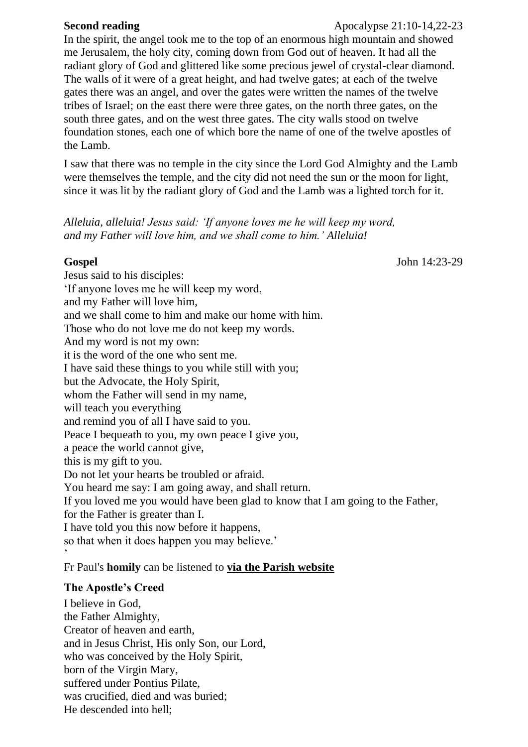### **Second reading** Apocalypse 21:10-14,22-23

In the spirit, the angel took me to the top of an enormous high mountain and showed me Jerusalem, the holy city, coming down from God out of heaven. It had all the radiant glory of God and glittered like some precious jewel of crystal-clear diamond. The walls of it were of a great height, and had twelve gates; at each of the twelve gates there was an angel, and over the gates were written the names of the twelve tribes of Israel; on the east there were three gates, on the north three gates, on the south three gates, and on the west three gates. The city walls stood on twelve foundation stones, each one of which bore the name of one of the twelve apostles of the Lamb.

I saw that there was no temple in the city since the Lord God Almighty and the Lamb were themselves the temple, and the city did not need the sun or the moon for light, since it was lit by the radiant glory of God and the Lamb was a lighted torch for it.

*Alleluia, alleluia! Jesus said: 'If anyone loves me he will keep my word, and my Father will love him, and we shall come to him.' Alleluia!*

**Gospel** John 14:23-29

Jesus said to his disciples: 'If anyone loves me he will keep my word, and my Father will love him, and we shall come to him and make our home with him. Those who do not love me do not keep my words. And my word is not my own: it is the word of the one who sent me. I have said these things to you while still with you; but the Advocate, the Holy Spirit, whom the Father will send in my name, will teach you everything and remind you of all I have said to you. Peace I bequeath to you, my own peace I give you, a peace the world cannot give, this is my gift to you. Do not let your hearts be troubled or afraid. You heard me say: I am going away, and shall return. If you loved me you would have been glad to know that I am going to the Father, for the Father is greater than I. I have told you this now before it happens, so that when it does happen you may believe.' '

### Fr Paul's **homily** can be listened to **via the Parish [website](https://www.cbparish.co.uk/homilies)**

### **The Apostle's Creed**

I believe in God, the Father Almighty, Creator of heaven and earth, and in Jesus Christ, His only Son, our Lord, who was conceived by the Holy Spirit, born of the Virgin Mary, suffered under Pontius Pilate, was crucified, died and was buried; He descended into hell;